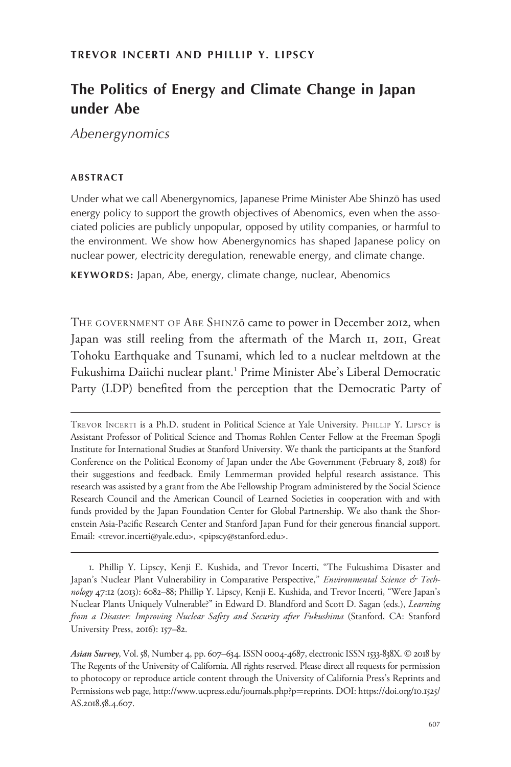# The Politics of Energy and Climate Change in Japan under Abe

Abenergynomics

# ABSTRACT

Under what we call Abenergynomics, Japanese Prime Minister Abe Shinzo has used ¯ energy policy to support the growth objectives of Abenomics, even when the associated policies are publicly unpopular, opposed by utility companies, or harmful to the environment. We show how Abenergynomics has shaped Japanese policy on nuclear power, electricity deregulation, renewable energy, and climate change.

KEYWORDS: Japan, Abe, energy, climate change, nuclear, Abenomics

THE GOVERNMENT OF ABE SHINZO came to power in December 2012, when Japan was still reeling from the aftermath of the March 11, 2011, Great Tohoku Earthquake and Tsunami, which led to a nuclear meltdown at the Fukushima Daiichi nuclear plant.<sup>1</sup> Prime Minister Abe's Liberal Democratic Party (LDP) benefited from the perception that the Democratic Party of

TREVOR INCERTI is a Ph.D. student in Political Science at Yale University. PHILLIP Y. LIPSCY is Assistant Professor of Political Science and Thomas Rohlen Center Fellow at the Freeman Spogli Institute for International Studies at Stanford University. We thank the participants at the Stanford Conference on the Political Economy of Japan under the Abe Government (February 8, 2018) for their suggestions and feedback. Emily Lemmerman provided helpful research assistance. This research was assisted by a grant from the Abe Fellowship Program administered by the Social Science Research Council and the American Council of Learned Societies in cooperation with and with funds provided by the Japan Foundation Center for Global Partnership. We also thank the Shorenstein Asia-Pacific Research Center and Stanford Japan Fund for their generous financial support. Email: <trevor.incerti@yale.edu>, <pipscy@stanford.edu>.

1. Phillip Y. Lipscy, Kenji E. Kushida, and Trevor Incerti, "The Fukushima Disaster and Japan's Nuclear Plant Vulnerability in Comparative Perspective," Environmental Science & Technology 47:12 (2013): 6082-88; Phillip Y. Lipscy, Kenji E. Kushida, and Trevor Incerti, "Were Japan's Nuclear Plants Uniquely Vulnerable?" in Edward D. Blandford and Scott D. Sagan (eds.), Learning from a Disaster: Improving Nuclear Safety and Security after Fukushima (Stanford, CA: Stanford University Press, 2016): 157–82.

Asian Survey, Vol. 58, Number 4, pp. 607–634. ISSN 0004-4687, electronic ISSN 1533-838X. © 2018 by The Regents of the University of California. All rights reserved. Please direct all requests for permission to photocopy or reproduce article content through the University of California Press's Reprints and Permissions web page, [http://www.ucpress.edu/journals.php?p](http://www.ucpress.edu/journals.php?p=reprints)=[reprints](http://www.ucpress.edu/journals.php?p=reprints). [DOI: https://doi.org/](https://doi.org/10.1525/AS.2018.58.4.607)10.1525/ [AS.](https://doi.org/10.1525/AS.2018.58.4.607)2018.58.4.607.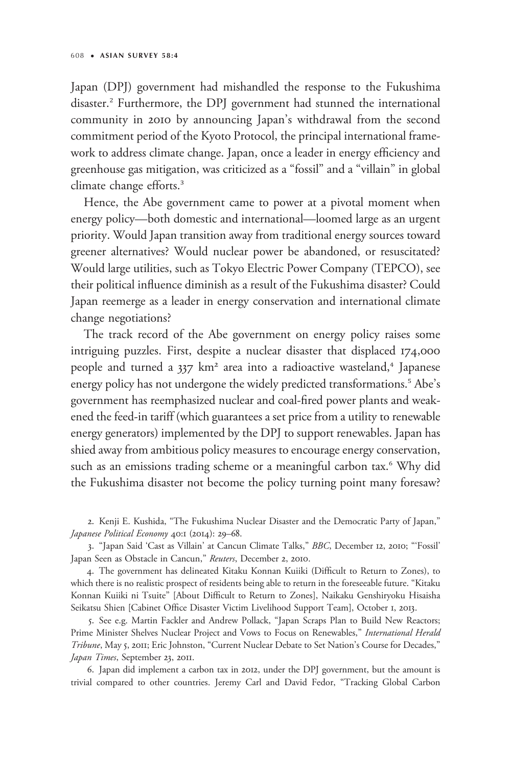Japan (DPJ) government had mishandled the response to the Fukushima disaster.<sup>2</sup> Furthermore, the DPJ government had stunned the international community in 2010 by announcing Japan's withdrawal from the second commitment period of the Kyoto Protocol, the principal international framework to address climate change. Japan, once a leader in energy efficiency and greenhouse gas mitigation, was criticized as a "fossil" and a "villain" in global climate change efforts.<sup>3</sup>

Hence, the Abe government came to power at a pivotal moment when energy policy—both domestic and international—loomed large as an urgent priority. Would Japan transition away from traditional energy sources toward greener alternatives? Would nuclear power be abandoned, or resuscitated? Would large utilities, such as Tokyo Electric Power Company (TEPCO), see their political influence diminish as a result of the Fukushima disaster? Could Japan reemerge as a leader in energy conservation and international climate change negotiations?

The track record of the Abe government on energy policy raises some intriguing puzzles. First, despite a nuclear disaster that displaced 174,000 people and turned a  $337 \text{ km}^2$  area into a radioactive wasteland,<sup>4</sup> Japanese energy policy has not undergone the widely predicted transformations.<sup>5</sup> Abe's government has reemphasized nuclear and coal-fired power plants and weakened the feed-in tariff (which guarantees a set price from a utility to renewable energy generators) implemented by the DPJ to support renewables. Japan has shied away from ambitious policy measures to encourage energy conservation, such as an emissions trading scheme or a meaningful carbon tax.<sup>6</sup> Why did the Fukushima disaster not become the policy turning point many foresaw?

2. Kenji E. Kushida, "The Fukushima Nuclear Disaster and the Democratic Party of Japan," Japanese Political Economy 40:1 (2014): 29–68.

3. "Japan Said 'Cast as Villain' at Cancun Climate Talks," BBC, December 12, 2010; "'Fossil' Japan Seen as Obstacle in Cancun," Reuters, December 2, 2010.

4. The government has delineated Kitaku Konnan Kuiiki (Difficult to Return to Zones), to which there is no realistic prospect of residents being able to return in the foreseeable future. "Kitaku Konnan Kuiiki ni Tsuite" [About Difficult to Return to Zones], Naikaku Genshiryoku Hisaisha Seikatsu Shien [Cabinet Office Disaster Victim Livelihood Support Team], October 1, 2013.

5. See e.g. Martin Fackler and Andrew Pollack, "Japan Scraps Plan to Build New Reactors; Prime Minister Shelves Nuclear Project and Vows to Focus on Renewables," International Herald Tribune, May 5, 2011; Eric Johnston, "Current Nuclear Debate to Set Nation's Course for Decades," Japan Times, September 23, 2011.

6. Japan did implement a carbon tax in 2012, under the DPJ government, but the amount is trivial compared to other countries. Jeremy Carl and David Fedor, "Tracking Global Carbon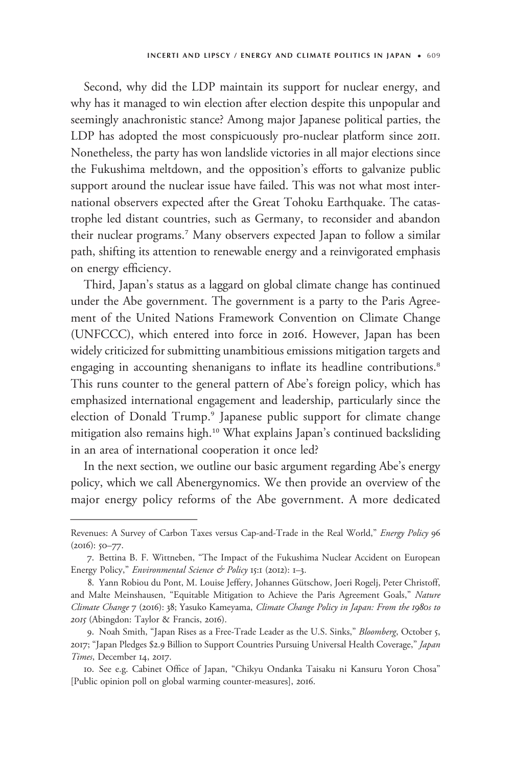Second, why did the LDP maintain its support for nuclear energy, and why has it managed to win election after election despite this unpopular and seemingly anachronistic stance? Among major Japanese political parties, the LDP has adopted the most conspicuously pro-nuclear platform since 2011. Nonetheless, the party has won landslide victories in all major elections since the Fukushima meltdown, and the opposition's efforts to galvanize public support around the nuclear issue have failed. This was not what most international observers expected after the Great Tohoku Earthquake. The catastrophe led distant countries, such as Germany, to reconsider and abandon their nuclear programs.<sup>7</sup> Many observers expected Japan to follow a similar path, shifting its attention to renewable energy and a reinvigorated emphasis on energy efficiency.

Third, Japan's status as a laggard on global climate change has continued under the Abe government. The government is a party to the Paris Agreement of the United Nations Framework Convention on Climate Change (UNFCCC), which entered into force in 2016. However, Japan has been widely criticized for submitting unambitious emissions mitigation targets and engaging in accounting shenanigans to inflate its headline contributions.<sup>8</sup> This runs counter to the general pattern of Abe's foreign policy, which has emphasized international engagement and leadership, particularly since the election of Donald Trump.<sup>9</sup> Japanese public support for climate change mitigation also remains high.<sup>10</sup> What explains Japan's continued backsliding in an area of international cooperation it once led? seemingly anachronistic stance:<br>
LDP has adopted the most co<br>
Nonetheless, the party has won<br>
the Fukushima meltdown, and<br>
support around the nuclear isst<br>
national observers expected aft<br>
trophe led distant countries, st<br>

In the next section, we outline our basic argument regarding Abe's energy policy, which we call Abenergynomics. We then provide an overview of the major energy policy reforms of the Abe government. A more dedicated

Revenues: A Survey of Carbon Taxes versus Cap-and-Trade in the Real World," Energy Policy 96 (2016): 50–77.

<sup>7.</sup> Bettina B. F. Wittneben, "The Impact of the Fukushima Nuclear Accident on European Energy Policy," Environmental Science & Policy 15:1 (2012): 1-3.

<sup>8.</sup> Yann Robiou du Pont, M. Louise Jeffery, Johannes Gütschow, Joeri Rogelj, Peter Christoff, and Malte Meinshausen, "Equitable Mitigation to Achieve the Paris Agreement Goals," Nature Climate Change 7 (2016): 38; Yasuko Kameyama, Climate Change Policy in Japan: From the 1980s to 2015 (Abingdon: Taylor & Francis, 2016).

<sup>9.</sup> Noah Smith, "Japan Rises as a Free-Trade Leader as the U.S. Sinks," Bloomberg, October 5, 2017; "Japan Pledges \$2.9 Billion to Support Countries Pursuing Universal Health Coverage," Japan Times, December 14, 2017.

<sup>10.</sup> See e.g. Cabinet Office of Japan, "Chikyu Ondanka Taisaku ni Kansuru Yoron Chosa" [Public opinion poll on global warming counter-measures], 2016.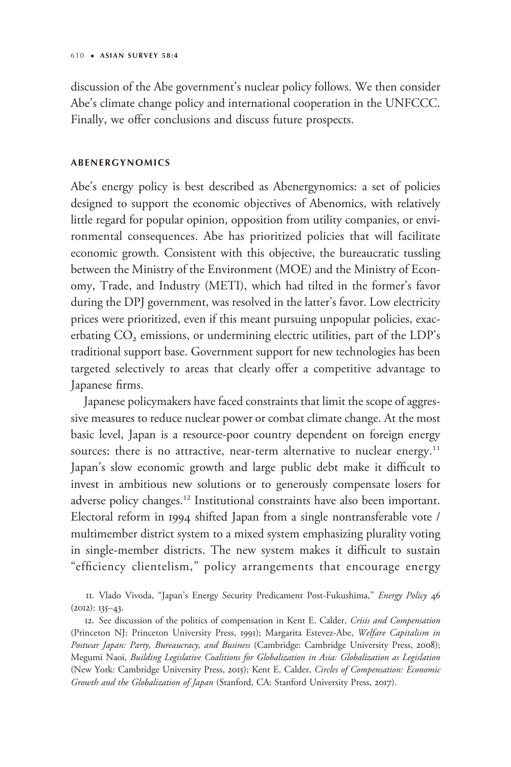discussion of the Abe government's nuclear policy follows. We then consider Abe's climate change policy and international cooperation in the UNFCCC. Finally, we offer conclusions and discuss future prospects.

# ABENERGYNOMICS

Abe's energy policy is best described as Abenergynomics: a set of policies designed to support the economic objectives of Abenomics, with relatively little regard for popular opinion, opposition from utility companies, or environmental consequences. Abe has prioritized policies that will facilitate economic growth. Consistent with this objective, the bureaucratic tussling between the Ministry of the Environment (MOE) and the Ministry of Economy, Trade, and Industry (METI), which had tilted in the former's favor during the DPJ government, was resolved in the latter's favor. Low electricity prices were prioritized, even if this meant pursuing unpopular policies, exacerbating CO<sub>2</sub> emissions, or undermining electric utilities, part of the LDP's traditional support base. Government support for new technologies has been targeted selectively to areas that clearly offer a competitive advantage to Japanese firms.

Japanese policymakers have faced constraints that limit the scope of aggressive measures to reduce nuclear power or combat climate change. At the most basic level, Japan is a resource-poor country dependent on foreign energy sources: there is no attractive, near-term alternative to nuclear energy.<sup>11</sup> Japan's slow economic growth and large public debt make it difficult to invest in ambitious new solutions or to generously compensate losers for adverse policy changes.<sup>12</sup> Institutional constraints have also been important. Electoral reform in 1994 shifted Japan from a single nontransferable vote / multimember district system to a mixed system emphasizing plurality voting in single-member districts. The new system makes it difficult to sustain "efficiency clientelism," policy arrangements that encourage energy

<sup>11.</sup> Vlado Vivoda, "Japan's Energy Security Predicament Post-Fukushima," Energy Policy 46  $(2012)$ : 135–43.

<sup>12.</sup> See discussion of the politics of compensation in Kent E. Calder, Crisis and Compensation (Princeton NJ: Princeton University Press, 1991); Margarita Estevez-Abe, Welfare Capitalism in Postwar Japan: Party, Bureaucracy, and Business (Cambridge: Cambridge University Press, 2008); Megumi Naoi, Building Legislative Coalitions for Globalization in Asia: Globalization as Legislation (New York: Cambridge University Press, 2015); Kent E. Calder, Circles of Compensation: Economic Growth and the Globalization of Japan (Stanford, CA: Stanford University Press, 2017).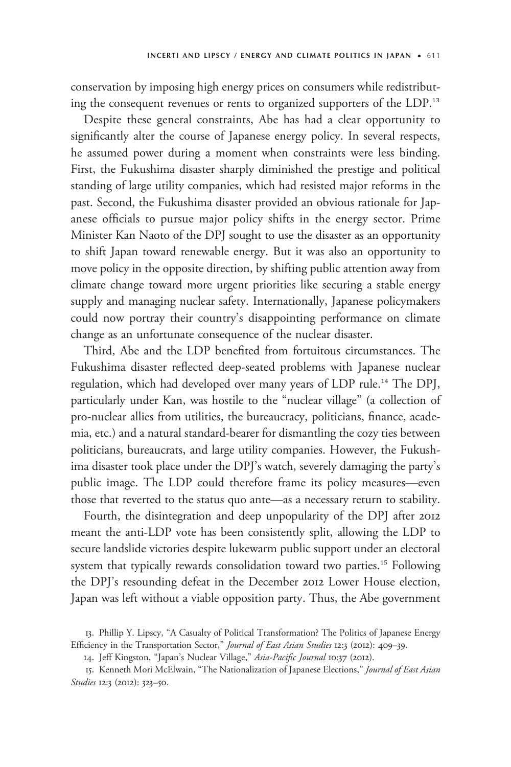conservation by imposing high energy prices on consumers while redistributing the consequent revenues or rents to organized supporters of the LDP.<sup>13</sup>

Despite these general constraints, Abe has had a clear opportunity to significantly alter the course of Japanese energy policy. In several respects, he assumed power during a moment when constraints were less binding. First, the Fukushima disaster sharply diminished the prestige and political standing of large utility companies, which had resisted major reforms in the past. Second, the Fukushima disaster provided an obvious rationale for Japanese officials to pursue major policy shifts in the energy sector. Prime Minister Kan Naoto of the DPJ sought to use the disaster as an opportunity to shift Japan toward renewable energy. But it was also an opportunity to move policy in the opposite direction, by shifting public attention away from climate change toward more urgent priorities like securing a stable energy supply and managing nuclear safety. Internationally, Japanese policymakers could now portray their country's disappointing performance on climate change as an unfortunate consequence of the nuclear disaster.

Third, Abe and the LDP benefited from fortuitous circumstances. The Fukushima disaster reflected deep-seated problems with Japanese nuclear regulation, which had developed over many years of LDP rule.<sup>14</sup> The DPJ, particularly under Kan, was hostile to the "nuclear village" (a collection of pro-nuclear allies from utilities, the bureaucracy, politicians, finance, academia, etc.) and a natural standard-bearer for dismantling the cozy ties between politicians, bureaucrats, and large utility companies. However, the Fukushima disaster took place under the DPJ's watch, severely damaging the party's public image. The LDP could therefore frame its policy measures—even those that reverted to the status quo ante—as a necessary return to stability.

Fourth, the disintegration and deep unpopularity of the DPJ after 2012 meant the anti-LDP vote has been consistently split, allowing the LDP to secure landslide victories despite lukewarm public support under an electoral system that typically rewards consolidation toward two parties.<sup>15</sup> Following the DPJ's resounding defeat in the December 2012 Lower House election, Japan was left without a viable opposition party. Thus, the Abe government

<sup>13.</sup> Phillip Y. Lipscy, "A Casualty of Political Transformation? The Politics of Japanese Energy Efficiency in the Transportation Sector," Journal of East Asian Studies 12:3 (2012): 409-39.

<sup>14.</sup> Jeff Kingston, "Japan's Nuclear Village," Asia-Pacific Journal 10:37 (2012).

<sup>15.</sup> Kenneth Mori McElwain, "The Nationalization of Japanese Elections," Journal of East Asian Studies 12:3 (2012): 323-50.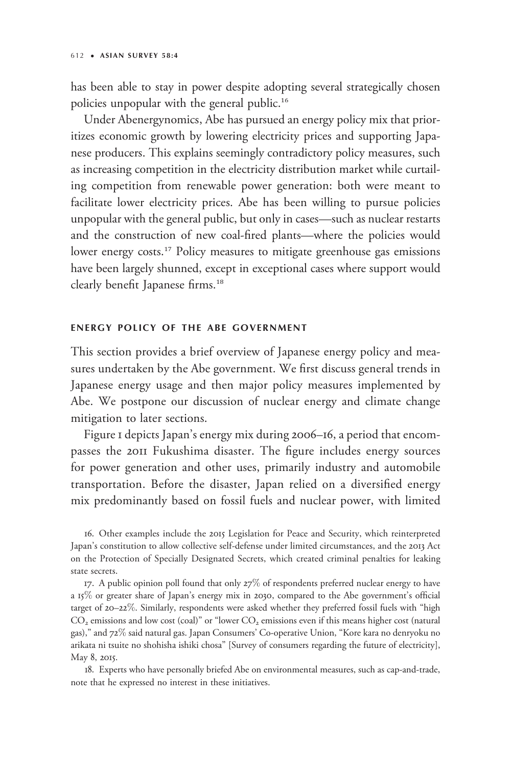has been able to stay in power despite adopting several strategically chosen policies unpopular with the general public.<sup>16</sup>

Under Abenergynomics, Abe has pursued an energy policy mix that prioritizes economic growth by lowering electricity prices and supporting Japanese producers. This explains seemingly contradictory policy measures, such as increasing competition in the electricity distribution market while curtailing competition from renewable power generation: both were meant to facilitate lower electricity prices. Abe has been willing to pursue policies unpopular with the general public, but only in cases—such as nuclear restarts and the construction of new coal-fired plants—where the policies would lower energy costs.<sup>17</sup> Policy measures to mitigate greenhouse gas emissions have been largely shunned, except in exceptional cases where support would clearly benefit Japanese firms.<sup>18</sup>

### ENERGY POLICY OF THE ABE GOVERNMENT

This section provides a brief overview of Japanese energy policy and measures undertaken by the Abe government. We first discuss general trends in Japanese energy usage and then major policy measures implemented by Abe. We postpone our discussion of nuclear energy and climate change mitigation to later sections.

Figure 1 depicts Japan's energy mix during 2006–16, a period that encompasses the 2011 Fukushima disaster. The figure includes energy sources for power generation and other uses, primarily industry and automobile transportation. Before the disaster, Japan relied on a diversified energy mix predominantly based on fossil fuels and nuclear power, with limited

16. Other examples include the 2015 Legislation for Peace and Security, which reinterpreted Japan's constitution to allow collective self-defense under limited circumstances, and the 2013 Act on the Protection of Specially Designated Secrets, which created criminal penalties for leaking state secrets.

17. A public opinion poll found that only 27% of respondents preferred nuclear energy to have a 15% or greater share of Japan's energy mix in 2030, compared to the Abe government's official target of 20–22%. Similarly, respondents were asked whether they preferred fossil fuels with "high  $CO<sub>2</sub>$  emissions and low cost (coal)" or "lower  $CO<sub>2</sub>$  emissions even if this means higher cost (natural gas)," and 72% said natural gas. Japan Consumers' Co-operative Union, "Kore kara no denryoku no arikata ni tsuite no shohisha ishiki chosa" [Survey of consumers regarding the future of electricity], May 8, 2015.

18. Experts who have personally briefed Abe on environmental measures, such as cap-and-trade, note that he expressed no interest in these initiatives.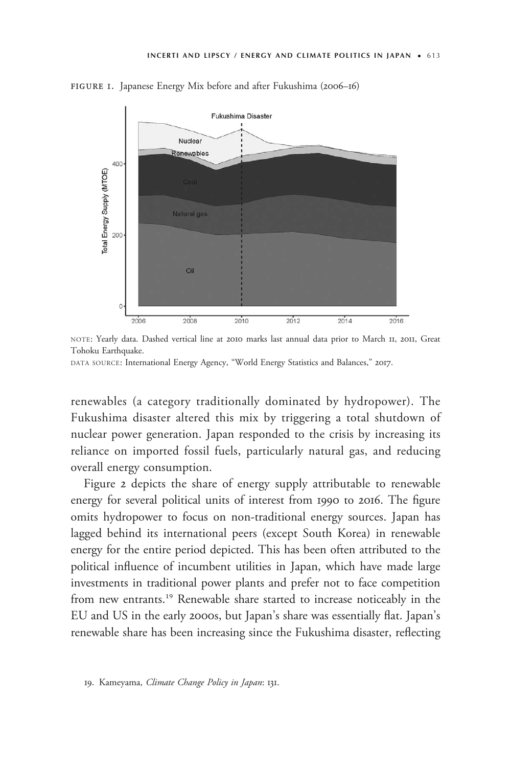

figure 1. Japanese Energy Mix before and after Fukushima (2006–16)

NOTE: Yearly data. Dashed vertical line at 2010 marks last annual data prior to March 11, 2011, Great Tohoku Earthquake.

renewables (a category traditionally dominated by hydropower). The Fukushima disaster altered this mix by triggering a total shutdown of nuclear power generation. Japan responded to the crisis by increasing its reliance on imported fossil fuels, particularly natural gas, and reducing overall energy consumption.

Figure 2 depicts the share of energy supply attributable to renewable energy for several political units of interest from 1990 to 2016. The figure omits hydropower to focus on non-traditional energy sources. Japan has lagged behind its international peers (except South Korea) in renewable energy for the entire period depicted. This has been often attributed to the political influence of incumbent utilities in Japan, which have made large investments in traditional power plants and prefer not to face competition from new entrants.<sup>19</sup> Renewable share started to increase noticeably in the EU and US in the early 2000s, but Japan's share was essentially flat. Japan's renewable share has been increasing since the Fukushima disaster, reflecting

DATA SOURCE: International Energy Agency, "World Energy Statistics and Balances," 2017.

<sup>19.</sup> Kameyama, Climate Change Policy in Japan: 131.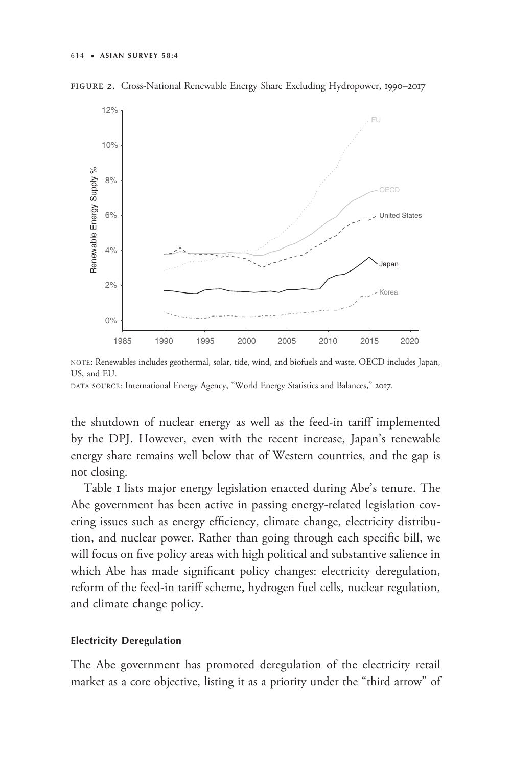



NOTE: Renewables includes geothermal, solar, tide, wind, and biofuels and waste. OECD includes Japan, US, and EU.

the shutdown of nuclear energy as well as the feed-in tariff implemented by the DPJ. However, even with the recent increase, Japan's renewable energy share remains well below that of Western countries, and the gap is not closing.

Table 1 lists major energy legislation enacted during Abe's tenure. The Abe government has been active in passing energy-related legislation covering issues such as energy efficiency, climate change, electricity distribution, and nuclear power. Rather than going through each specific bill, we will focus on five policy areas with high political and substantive salience in which Abe has made significant policy changes: electricity deregulation, reform of the feed-in tariff scheme, hydrogen fuel cells, nuclear regulation, and climate change policy.

# Electricity Deregulation

The Abe government has promoted deregulation of the electricity retail market as a core objective, listing it as a priority under the "third arrow" of

DATA SOURCE: International Energy Agency, "World Energy Statistics and Balances," 2017.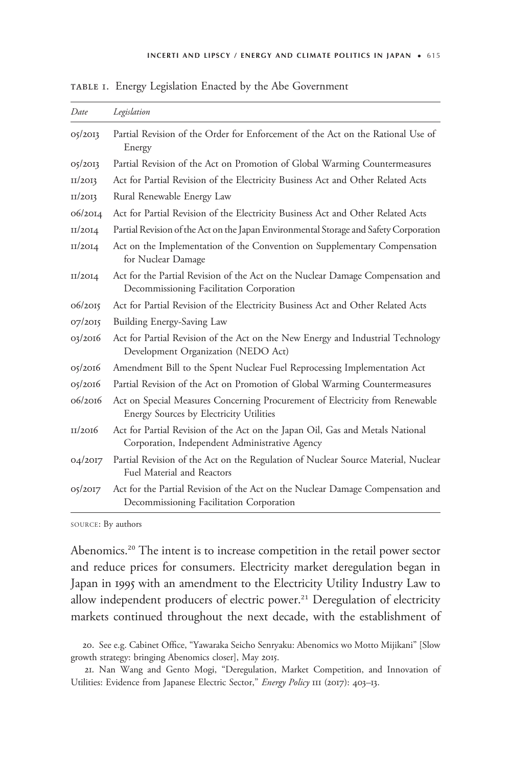| Date    | Legislation                                                                                                                     |
|---------|---------------------------------------------------------------------------------------------------------------------------------|
| 05/2013 | Partial Revision of the Order for Enforcement of the Act on the Rational Use of<br>Energy                                       |
| 05/2013 | Partial Revision of the Act on Promotion of Global Warming Countermeasures                                                      |
| II/2OI3 | Act for Partial Revision of the Electricity Business Act and Other Related Acts                                                 |
| II/2OI3 | Rural Renewable Energy Law                                                                                                      |
| 06/2014 | Act for Partial Revision of the Electricity Business Act and Other Related Acts                                                 |
| II/20I4 | Partial Revision of the Act on the Japan Environmental Storage and Safety Corporation                                           |
| II/2OI4 | Act on the Implementation of the Convention on Supplementary Compensation<br>for Nuclear Damage                                 |
| II/20I4 | Act for the Partial Revision of the Act on the Nuclear Damage Compensation and<br>Decommissioning Facilitation Corporation      |
| 06/2015 | Act for Partial Revision of the Electricity Business Act and Other Related Acts                                                 |
| 07/2015 | Building Energy-Saving Law                                                                                                      |
| 03/2016 | Act for Partial Revision of the Act on the New Energy and Industrial Technology<br>Development Organization (NEDO Act)          |
| 05/2016 | Amendment Bill to the Spent Nuclear Fuel Reprocessing Implementation Act                                                        |
| 05/2016 | Partial Revision of the Act on Promotion of Global Warming Countermeasures                                                      |
| 06/2016 | Act on Special Measures Concerning Procurement of Electricity from Renewable<br>Energy Sources by Electricity Utilities         |
| II/2016 | Act for Partial Revision of the Act on the Japan Oil, Gas and Metals National<br>Corporation, Independent Administrative Agency |
| 04/2017 | Partial Revision of the Act on the Regulation of Nuclear Source Material, Nuclear<br>Fuel Material and Reactors                 |
| 05/2017 | Act for the Partial Revision of the Act on the Nuclear Damage Compensation and<br>Decommissioning Facilitation Corporation      |

table 1. Energy Legislation Enacted by the Abe Government

SOURCE: By authors

Abenomics.<sup>20</sup> The intent is to increase competition in the retail power sector and reduce prices for consumers. Electricity market deregulation began in Japan in 1995 with an amendment to the Electricity Utility Industry Law to allow independent producers of electric power.<sup>21</sup> Deregulation of electricity markets continued throughout the next decade, with the establishment of

20. See e.g. Cabinet Office, "Yawaraka Seicho Senryaku: Abenomics wo Motto Mijikani" [Slow growth strategy: bringing Abenomics closer], May 2015.

21. Nan Wang and Gento Mogi, "Deregulation, Market Competition, and Innovation of Utilities: Evidence from Japanese Electric Sector," Energy Policy III (2017): 403-13.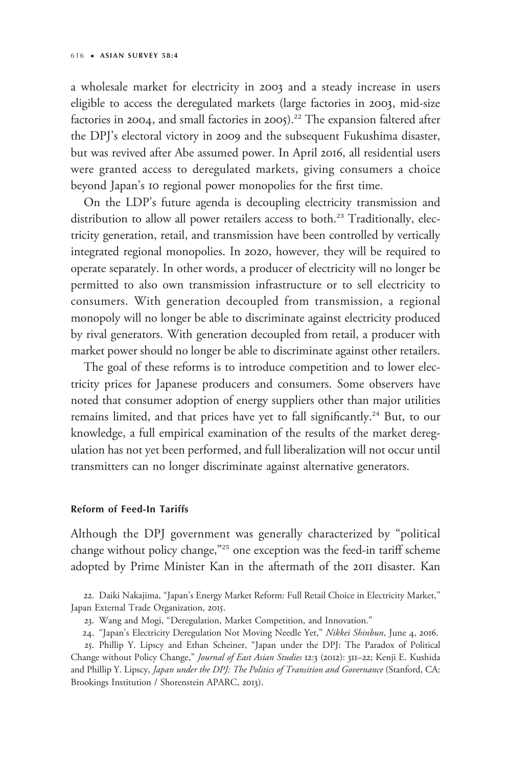a wholesale market for electricity in 2003 and a steady increase in users eligible to access the deregulated markets (large factories in 2003, mid-size factories in 2004, and small factories in 2005).<sup>22</sup> The expansion faltered after the DPJ's electoral victory in 2009 and the subsequent Fukushima disaster, but was revived after Abe assumed power. In April 2016, all residential users were granted access to deregulated markets, giving consumers a choice beyond Japan's 10 regional power monopolies for the first time.

On the LDP's future agenda is decoupling electricity transmission and distribution to allow all power retailers access to both.<sup>23</sup> Traditionally, electricity generation, retail, and transmission have been controlled by vertically integrated regional monopolies. In 2020, however, they will be required to operate separately. In other words, a producer of electricity will no longer be permitted to also own transmission infrastructure or to sell electricity to consumers. With generation decoupled from transmission, a regional monopoly will no longer be able to discriminate against electricity produced by rival generators. With generation decoupled from retail, a producer with market power should no longer be able to discriminate against other retailers.

The goal of these reforms is to introduce competition and to lower electricity prices for Japanese producers and consumers. Some observers have noted that consumer adoption of energy suppliers other than major utilities remains limited, and that prices have yet to fall significantly.<sup>24</sup> But, to our knowledge, a full empirical examination of the results of the market deregulation has not yet been performed, and full liberalization will not occur until transmitters can no longer discriminate against alternative generators.

# Reform of Feed-In Tariffs

Although the DPJ government was generally characterized by "political change without policy change,"<sup>25</sup> one exception was the feed-in tariff scheme adopted by Prime Minister Kan in the aftermath of the 2011 disaster. Kan

22. Daiki Nakajima, "Japan's Energy Market Reform: Full Retail Choice in Electricity Market," Japan External Trade Organization, 2015.

25. Phillip Y. Lipscy and Ethan Scheiner, "Japan under the DPJ: The Paradox of Political Change without Policy Change," Journal of East Asian Studies 12:3 (2012): 311-22; Kenji E. Kushida and Phillip Y. Lipscy, Japan under the DPJ: The Politics of Transition and Governance (Stanford, CA: Brookings Institution / Shorenstein APARC, 2013).

<sup>23.</sup> Wang and Mogi, "Deregulation, Market Competition, and Innovation."

<sup>24. &</sup>quot;Japan's Electricity Deregulation Not Moving Needle Yet," Nikkei Shinbun, June 4, 2016.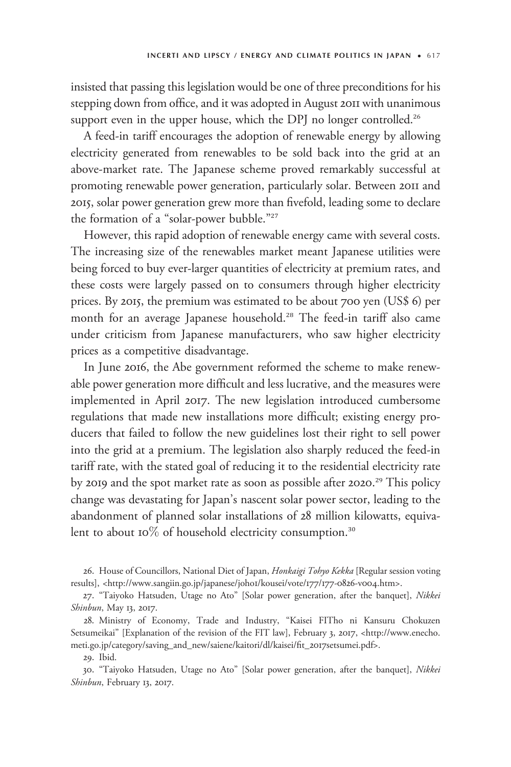insisted that passing this legislation would be one of three preconditions for his stepping down from office, and it was adopted in August 2011 with unanimous support even in the upper house, which the DPJ no longer controlled.<sup>26</sup>

A feed-in tariff encourages the adoption of renewable energy by allowing electricity generated from renewables to be sold back into the grid at an above-market rate. The Japanese scheme proved remarkably successful at promoting renewable power generation, particularly solar. Between 2011 and 2015, solar power generation grew more than fivefold, leading some to declare the formation of a "solar-power bubble."<sup>27</sup>

However, this rapid adoption of renewable energy came with several costs. The increasing size of the renewables market meant Japanese utilities were being forced to buy ever-larger quantities of electricity at premium rates, and these costs were largely passed on to consumers through higher electricity prices. By 2015, the premium was estimated to be about 700 yen (US\$ 6) per month for an average Japanese household.<sup>28</sup> The feed-in tariff also came under criticism from Japanese manufacturers, who saw higher electricity prices as a competitive disadvantage.

In June 2016, the Abe government reformed the scheme to make renewable power generation more difficult and less lucrative, and the measures were implemented in April 2017. The new legislation introduced cumbersome regulations that made new installations more difficult; existing energy producers that failed to follow the new guidelines lost their right to sell power into the grid at a premium. The legislation also sharply reduced the feed-in tariff rate, with the stated goal of reducing it to the residential electricity rate by 2019 and the spot market rate as soon as possible after 2020.<sup>29</sup> This policy change was devastating for Japan's nascent solar power sector, leading to the abandonment of planned solar installations of 28 million kilowatts, equivalent to about 10% of household electricity consumption.<sup>30</sup>

26. House of Councillors, National Diet of Japan, Honkaigi Tohyo Kekka [Regular session voting results], <[http://www.sangiin.go.jp/japanese/joho](http://www.sangiin.go.jp/japanese/joho1/kousei/vote/177/177-0826-v004.htm)1/kousei/vote/177/177-0826-v004.htm>.

27. "Taiyoko Hatsuden, Utage no Ato" [Solar power generation, after the banquet], Nikkei Shinbun, May 13, 2017.

28. Ministry of Economy, Trade and Industry, "Kaisei FITho ni Kansuru Chokuzen Setsumeikai" [Explanation of the revision of the FIT law], February 3, 2017, [<http://www.enecho.](http://www.enecho.meti.go.jp/category/saving_and_new/saiene/kaitori/dl/kaisei/fit_2017setsumei.pdf) [meti.go.jp/category/saving\\_and\\_new/saiene/kaitori/dl/kaisei/fit\\_](http://www.enecho.meti.go.jp/category/saving_and_new/saiene/kaitori/dl/kaisei/fit_2017setsumei.pdf)2017setsumei.pdf>.

29. Ibid.

30. "Taiyoko Hatsuden, Utage no Ato" [Solar power generation, after the banquet], Nikkei Shinbun, February 13, 2017.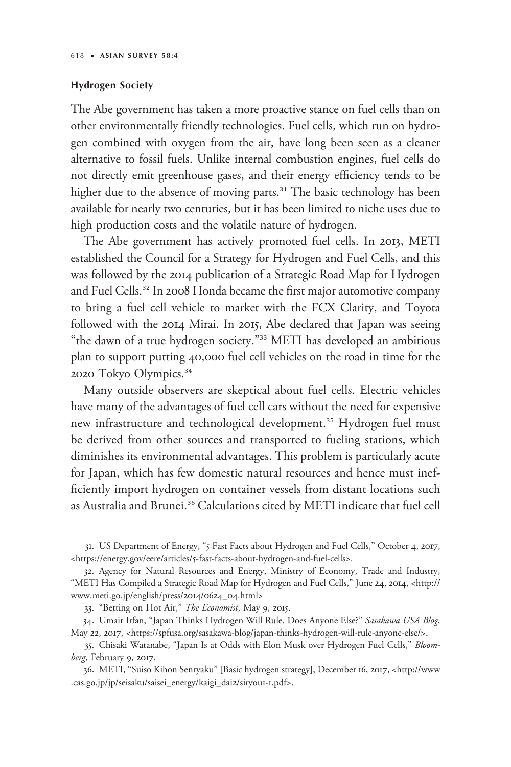#### Hydrogen Society

The Abe government has taken a more proactive stance on fuel cells than on other environmentally friendly technologies. Fuel cells, which run on hydrogen combined with oxygen from the air, have long been seen as a cleaner alternative to fossil fuels. Unlike internal combustion engines, fuel cells do not directly emit greenhouse gases, and their energy efficiency tends to be higher due to the absence of moving parts.<sup>31</sup> The basic technology has been available for nearly two centuries, but it has been limited to niche uses due to high production costs and the volatile nature of hydrogen.

The Abe government has actively promoted fuel cells. In 2013, METI established the Council for a Strategy for Hydrogen and Fuel Cells, and this was followed by the 2014 publication of a Strategic Road Map for Hydrogen and Fuel Cells.<sup>32</sup> In 2008 Honda became the first major automotive company to bring a fuel cell vehicle to market with the FCX Clarity, and Toyota followed with the 2014 Mirai. In 2015, Abe declared that Japan was seeing "the dawn of a true hydrogen society."<sup>33</sup> METI has developed an ambitious plan to support putting 40,000 fuel cell vehicles on the road in time for the 2020 Tokyo Olympics.<sup>34</sup>

Many outside observers are skeptical about fuel cells. Electric vehicles have many of the advantages of fuel cell cars without the need for expensive new infrastructure and technological development.<sup>35</sup> Hydrogen fuel must be derived from other sources and transported to fueling stations, which diminishes its environmental advantages. This problem is particularly acute for Japan, which has few domestic natural resources and hence must inefficiently import hydrogen on container vessels from distant locations such as Australia and Brunei.<sup>36</sup> Calculations cited by METI indicate that fuel cell

31. US Department of Energy, "5 Fast Facts about Hydrogen and Fuel Cells," October 4, 2017, <https://energy.gov/eere/articles/5[-fast-facts-about-hydrogen-and-fuel-cells](https://energy.gov/eere/articles/5-fast-facts-about-hydrogen-and-fuel-cells)>.

32. Agency for Natural Resources and Energy, Ministry of Economy, Trade and Industry, "METI Has Compiled a Strategic Road Map for Hydrogen and Fuel Cells," June 24, 2014, <[http://](http://www.meti.go.jp/english/press/2014/0624_04.html) [www.meti.go.jp/english/press/](http://www.meti.go.jp/english/press/2014/0624_04.html)2014/0624\_04.html>

33. "Betting on Hot Air," The Economist, May 9, 2015.

34. Umair Irfan, "Japan Thinks Hydrogen Will Rule. Does Anyone Else?" Sasakawa USA Blog, May 22, 2017, <[https://spfusa.org/sasakawa-blog/japan-thinks-hydrogen-will-rule-anyone-else/>](https://spfusa.org/sasakawa-blog/japan-thinks-hydrogen-will-rule-anyone-else/).

35. Chisaki Watanabe, "Japan Is at Odds with Elon Musk over Hydrogen Fuel Cells," Bloomberg, February 9, 2017.

36. METI, "Suiso Kihon Senryaku" [Basic hydrogen strategy], December 16, 2017, [<http://www](http://www.cas.go.jp/jp/seisaku/saisei_energy/kaigi_dai2/siryou1-1.pdf) [.cas.go.jp/jp/seisaku/saisei\\_energy/kaigi\\_dai](http://www.cas.go.jp/jp/seisaku/saisei_energy/kaigi_dai2/siryou1-1.pdf)2/siryou1-1.pdf>.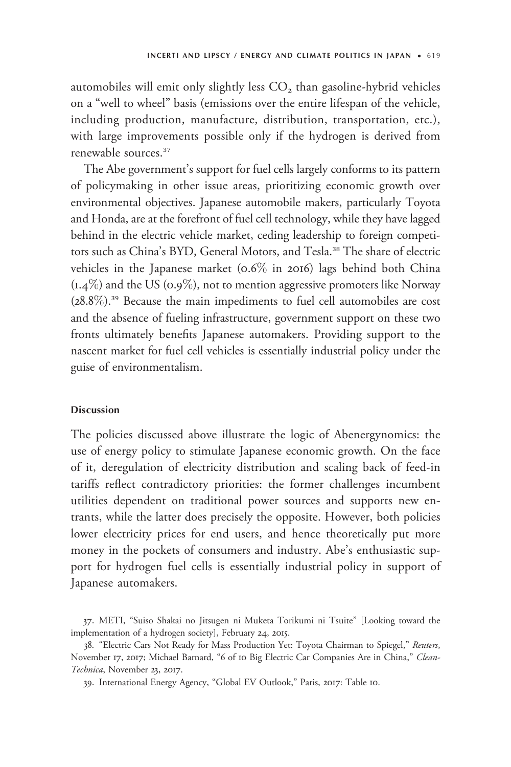automobiles will emit only slightly less  $CO<sub>2</sub>$  than gasoline-hybrid vehicles on a "well to wheel" basis (emissions over the entire lifespan of the vehicle, including production, manufacture, distribution, transportation, etc.), with large improvements possible only if the hydrogen is derived from renewable sources.<sup>37</sup>

The Abe government's support for fuel cells largely conforms to its pattern of policymaking in other issue areas, prioritizing economic growth over environmental objectives. Japanese automobile makers, particularly Toyota and Honda, are at the forefront of fuel cell technology, while they have lagged behind in the electric vehicle market, ceding leadership to foreign competitors such as China's BYD, General Motors, and Tesla.<sup>38</sup> The share of electric vehicles in the Japanese market (0.6% in 2016) lags behind both China  $(1.4\%)$  and the US (0.9%), not to mention aggressive promoters like Norway (28.8%).<sup>39</sup> Because the main impediments to fuel cell automobiles are cost and the absence of fueling infrastructure, government support on these two fronts ultimately benefits Japanese automakers. Providing support to the nascent market for fuel cell vehicles is essentially industrial policy under the guise of environmentalism.

#### Discussion

The policies discussed above illustrate the logic of Abenergynomics: the use of energy policy to stimulate Japanese economic growth. On the face of it, deregulation of electricity distribution and scaling back of feed-in tariffs reflect contradictory priorities: the former challenges incumbent utilities dependent on traditional power sources and supports new entrants, while the latter does precisely the opposite. However, both policies lower electricity prices for end users, and hence theoretically put more money in the pockets of consumers and industry. Abe's enthusiastic support for hydrogen fuel cells is essentially industrial policy in support of Japanese automakers.

<sup>37.</sup> METI, "Suiso Shakai no Jitsugen ni Muketa Torikumi ni Tsuite" [Looking toward the implementation of a hydrogen society], February 24, 2015.

<sup>38. &</sup>quot;Electric Cars Not Ready for Mass Production Yet: Toyota Chairman to Spiegel," Reuters, November 17, 2017; Michael Barnard, "6 of 10 Big Electric Car Companies Are in China," Clean-Technica, November 23, 2017.

<sup>39.</sup> International Energy Agency, "Global EV Outlook," Paris, 2017: Table 10.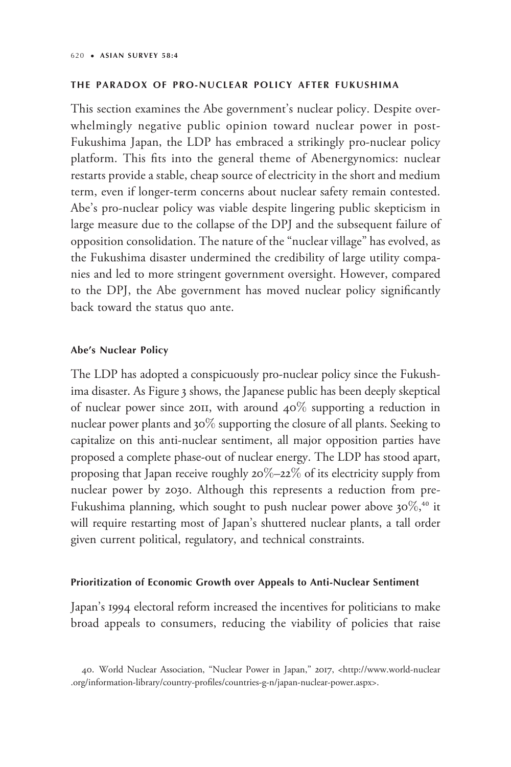#### THE PARADOX OF PRO-NUCLEAR POLICY AFTER FUKUSHIMA

This section examines the Abe government's nuclear policy. Despite overwhelmingly negative public opinion toward nuclear power in post-Fukushima Japan, the LDP has embraced a strikingly pro-nuclear policy platform. This fits into the general theme of Abenergynomics: nuclear restarts provide a stable, cheap source of electricity in the short and medium term, even if longer-term concerns about nuclear safety remain contested. Abe's pro-nuclear policy was viable despite lingering public skepticism in large measure due to the collapse of the DPJ and the subsequent failure of opposition consolidation. The nature of the "nuclear village" has evolved, as the Fukushima disaster undermined the credibility of large utility companies and led to more stringent government oversight. However, compared to the DPJ, the Abe government has moved nuclear policy significantly back toward the status quo ante.

# Abe's Nuclear Policy

The LDP has adopted a conspicuously pro-nuclear policy since the Fukushima disaster. As Figure 3 shows, the Japanese public has been deeply skeptical of nuclear power since 2011, with around  $40\%$  supporting a reduction in nuclear power plants and 30% supporting the closure of all plants. Seeking to capitalize on this anti-nuclear sentiment, all major opposition parties have proposed a complete phase-out of nuclear energy. The LDP has stood apart, proposing that Japan receive roughly  $20\% - 22\%$  of its electricity supply from nuclear power by 2030. Although this represents a reduction from pre-Fukushima planning, which sought to push nuclear power above 30%,<sup>40</sup> it will require restarting most of Japan's shuttered nuclear plants, a tall order given current political, regulatory, and technical constraints.

# Prioritization of Economic Growth over Appeals to Anti-Nuclear Sentiment

Japan's 1994 electoral reform increased the incentives for politicians to make broad appeals to consumers, reducing the viability of policies that raise

<sup>40.</sup> World Nuclear Association, "Nuclear Power in Japan," 2017, <[http://www.world-nuclear](http://www.world-nuclear.org/information-library/country-profiles/countries-g-n/japan-nuclear-power.aspx) [.org/information-library/country-profiles/countries-g-n/japan-nuclear-power.aspx>](http://www.world-nuclear.org/information-library/country-profiles/countries-g-n/japan-nuclear-power.aspx).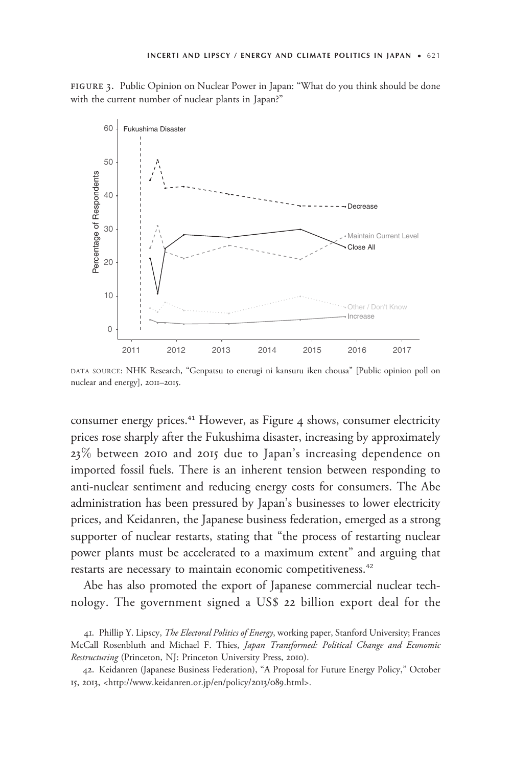figure 3. Public Opinion on Nuclear Power in Japan: "What do you think should be done with the current number of nuclear plants in Japan?"



DATA SOURCE: NHK Research, "Genpatsu to enerugi ni kansuru iken chousa" [Public opinion poll on nuclear and energy], 2011–2015.

consumer energy prices.<sup>41</sup> However, as Figure 4 shows, consumer electricity prices rose sharply after the Fukushima disaster, increasing by approximately 23% between 2010 and 2015 due to Japan's increasing dependence on imported fossil fuels. There is an inherent tension between responding to anti-nuclear sentiment and reducing energy costs for consumers. The Abe administration has been pressured by Japan's businesses to lower electricity prices, and Keidanren, the Japanese business federation, emerged as a strong supporter of nuclear restarts, stating that "the process of restarting nuclear power plants must be accelerated to a maximum extent" and arguing that restarts are necessary to maintain economic competitiveness.<sup>42</sup>

Abe has also promoted the export of Japanese commercial nuclear technology. The government signed a US\$ 22 billion export deal for the

<sup>41.</sup> Phillip Y. Lipscy, The Electoral Politics of Energy, working paper, Stanford University; Frances McCall Rosenbluth and Michael F. Thies, Japan Transformed: Political Change and Economic Restructuring (Princeton, NJ: Princeton University Press, 2010).

<sup>42.</sup> Keidanren (Japanese Business Federation), "A Proposal for Future Energy Policy," October 15, 2013, [<http://www.keidanren.or.jp/en/policy/](http://www.keidanren.or.jp/en/policy/2013/089.html)2013/089.html>.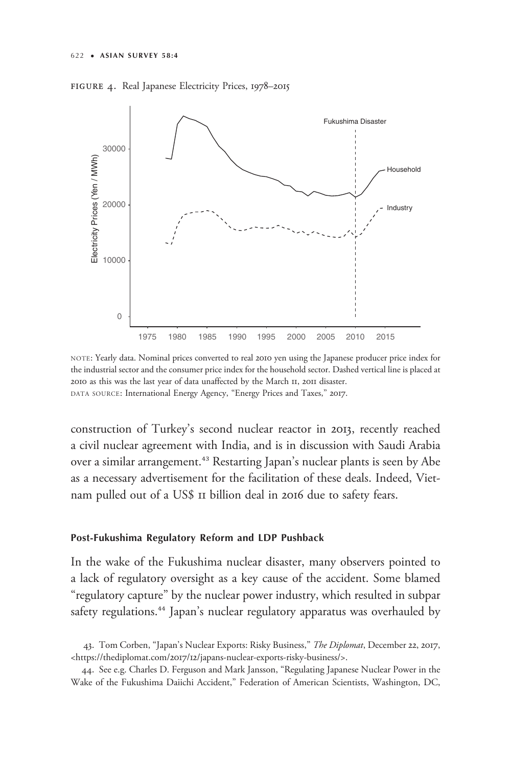



NOTE: Yearly data. Nominal prices converted to real 2010 yen using the Japanese producer price index for the industrial sector and the consumer price index for the household sector. Dashed vertical line is placed at 2010 as this was the last year of data unaffected by the March 11, 2011 disaster. DATA SOURCE: International Energy Agency, "Energy Prices and Taxes," 2017.

construction of Turkey's second nuclear reactor in 2013, recently reached a civil nuclear agreement with India, and is in discussion with Saudi Arabia over a similar arrangement.<sup>43</sup> Restarting Japan's nuclear plants is seen by Abe as a necessary advertisement for the facilitation of these deals. Indeed, Vietnam pulled out of a US\$ 11 billion deal in 2016 due to safety fears.

## Post-Fukushima Regulatory Reform and LDP Pushback

In the wake of the Fukushima nuclear disaster, many observers pointed to a lack of regulatory oversight as a key cause of the accident. Some blamed "regulatory capture" by the nuclear power industry, which resulted in subpar safety regulations.<sup>44</sup> Japan's nuclear regulatory apparatus was overhauled by

<sup>43.</sup> Tom Corben, "Japan's Nuclear Exports: Risky Business," The Diplomat, December 22, 2017, <https://thediplomat.com/2017/12[/japans-nuclear-exports-risky-business/>](https://thediplomat.com/2017/12/japans-nuclear-exports-risky-business/).

<sup>44.</sup> See e.g. Charles D. Ferguson and Mark Jansson, "Regulating Japanese Nuclear Power in the Wake of the Fukushima Daiichi Accident," Federation of American Scientists, Washington, DC,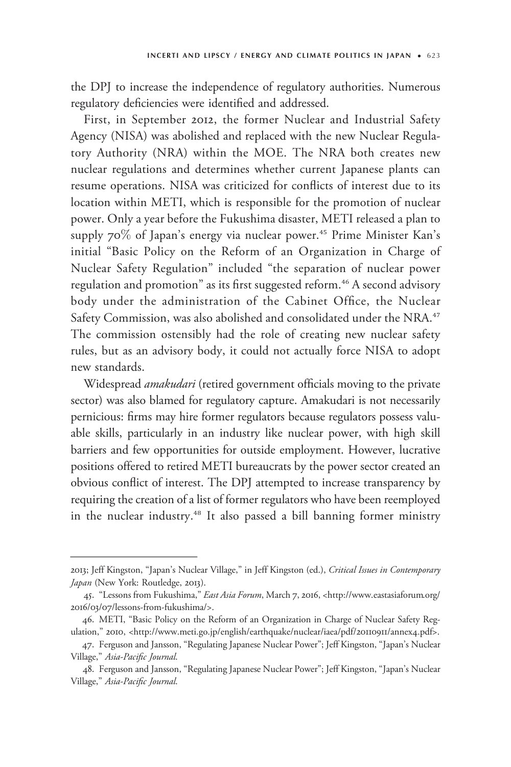the DPJ to increase the independence of regulatory authorities. Numerous regulatory deficiencies were identified and addressed.

First, in September 2012, the former Nuclear and Industrial Safety Agency (NISA) was abolished and replaced with the new Nuclear Regulatory Authority (NRA) within the MOE. The NRA both creates new nuclear regulations and determines whether current Japanese plants can resume operations. NISA was criticized for conflicts of interest due to its location within METI, which is responsible for the promotion of nuclear power. Only a year before the Fukushima disaster, METI released a plan to supply 70% of Japan's energy via nuclear power.<sup>45</sup> Prime Minister Kan's initial "Basic Policy on the Reform of an Organization in Charge of Nuclear Safety Regulation" included "the separation of nuclear power regulation and promotion" as its first suggested reform.<sup>46</sup> A second advisory body under the administration of the Cabinet Office, the Nuclear Safety Commission, was also abolished and consolidated under the NRA.<sup>47</sup> The commission ostensibly had the role of creating new nuclear safety rules, but as an advisory body, it could not actually force NISA to adopt new standards. nuclear regulations and determounclear regulations and determounclear regulations and determounce. NISA was location within METI, which power. Only a year before the laupply 70% of Japan's energy initial "Basic Policy on

Widespread *amakudari* (retired government officials moving to the private sector) was also blamed for regulatory capture. Amakudari is not necessarily pernicious: firms may hire former regulators because regulators possess valuable skills, particularly in an industry like nuclear power, with high skill barriers and few opportunities for outside employment. However, lucrative positions offered to retired METI bureaucrats by the power sector created an obvious conflict of interest. The DPJ attempted to increase transparency by requiring the creation of a list of former regulators who have been reemployed in the nuclear industry.<sup>48</sup> It also passed a bill banning former ministry

<sup>2013;</sup> Jeff Kingston, "Japan's Nuclear Village," in Jeff Kingston (ed.), Critical Issues in Contemporary Japan (New York: Routledge, 2013).

<sup>45.</sup> "Lessons from Fukushima," East Asia Forum, March 7, 2016, <[http://www.eastasiaforum.org/](http://www.eastasiaforum.org/2016/03/07/lessons-from-fukushima/) 2016/03/07/lessons-from-fukushima/>.

<sup>46.</sup> METI, "Basic Policy on the Reform of an Organization in Charge of Nuclear Safety Regulation," 2010, <[http://www.meti.go.jp/english/earthquake/nuclear/iaea/pdf/](http://www.meti.go.jp/english/earthquake/nuclear/iaea/pdf/20110911/annex4.pdf)20110911/annex4.pdf>.

<sup>47.</sup> Ferguson and Jansson, "Regulating Japanese Nuclear Power"; Jeff Kingston, "Japan's Nuclear Village," Asia-Pacific Journal.

<sup>48.</sup> Ferguson and Jansson, "Regulating Japanese Nuclear Power"; Jeff Kingston, "Japan's Nuclear Village," Asia-Pacific Journal.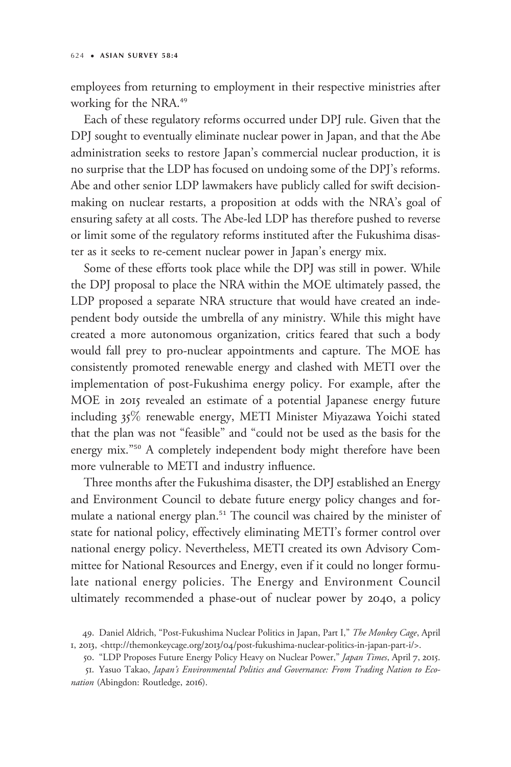employees from returning to employment in their respective ministries after working for the NRA.<sup>49</sup>

Each of these regulatory reforms occurred under DPJ rule. Given that the DPJ sought to eventually eliminate nuclear power in Japan, and that the Abe administration seeks to restore Japan's commercial nuclear production, it is no surprise that the LDP has focused on undoing some of the DPJ's reforms. Abe and other senior LDP lawmakers have publicly called for swift decisionmaking on nuclear restarts, a proposition at odds with the NRA's goal of ensuring safety at all costs. The Abe-led LDP has therefore pushed to reverse or limit some of the regulatory reforms instituted after the Fukushima disaster as it seeks to re-cement nuclear power in Japan's energy mix.

Some of these efforts took place while the DPJ was still in power. While the DPJ proposal to place the NRA within the MOE ultimately passed, the LDP proposed a separate NRA structure that would have created an independent body outside the umbrella of any ministry. While this might have created a more autonomous organization, critics feared that such a body would fall prey to pro-nuclear appointments and capture. The MOE has consistently promoted renewable energy and clashed with METI over the implementation of post-Fukushima energy policy. For example, after the MOE in 2015 revealed an estimate of a potential Japanese energy future including 35% renewable energy, METI Minister Miyazawa Yoichi stated that the plan was not "feasible" and "could not be used as the basis for the energy mix."<sup>50</sup> A completely independent body might therefore have been more vulnerable to METI and industry influence.

Three months after the Fukushima disaster, the DPJ established an Energy and Environment Council to debate future energy policy changes and formulate a national energy plan.<sup>51</sup> The council was chaired by the minister of state for national policy, effectively eliminating METI's former control over national energy policy. Nevertheless, METI created its own Advisory Committee for National Resources and Energy, even if it could no longer formulate national energy policies. The Energy and Environment Council ultimately recommended a phase-out of nuclear power by 2040, a policy

<sup>49.</sup> Daniel Aldrich, "Post-Fukushima Nuclear Politics in Japan, Part I," The Monkey Cage, April 1, 2013, <http://themonkeycage.org/2013/04[/post-fukushima-nuclear-politics-in-japan-part-i/](http://themonkeycage.org/2013/04/post-fukushima-nuclear-politics-in-japan-part-i/)>.

<sup>50. &</sup>quot;LDP Proposes Future Energy Policy Heavy on Nuclear Power," Japan Times, April 7, 2015.

<sup>51.</sup> Yasuo Takao, Japan's Environmental Politics and Governance: From Trading Nation to Econation (Abingdon: Routledge, 2016).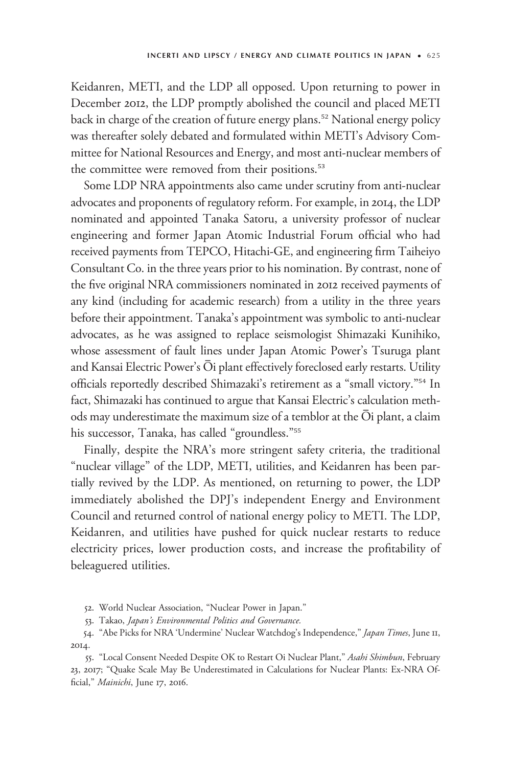Keidanren, METI, and the LDP all opposed. Upon returning to power in December 2012, the LDP promptly abolished the council and placed METI back in charge of the creation of future energy plans.<sup>52</sup> National energy policy was thereafter solely debated and formulated within METI's Advisory Committee for National Resources and Energy, and most anti-nuclear members of the committee were removed from their positions.<sup>53</sup>

Some LDP NRA appointments also came under scrutiny from anti-nuclear advocates and proponents of regulatory reform. For example, in 2014, the LDP nominated and appointed Tanaka Satoru, a university professor of nuclear engineering and former Japan Atomic Industrial Forum official who had received payments from TEPCO, Hitachi-GE, and engineering firm Taiheiyo Consultant Co. in the three years prior to his nomination. By contrast, none of the five original NRA commissioners nominated in 2012 received payments of any kind (including for academic research) from a utility in the three years before their appointment. Tanaka's appointment was symbolic to anti-nuclear advocates, as he was assigned to replace seismologist Shimazaki Kunihiko, whose assessment of fault lines under Japan Atomic Power's Tsuruga plant and Kansai Electric Power's  $\bar{O}$ i plant effectively foreclosed early restarts. Utility officials reportedly described Shimazaki's retirement as a "small victory."<sup>54</sup> In fact, Shimazaki has continued to argue that Kansai Electric's calculation methods may underestimate the maximum size of a temblor at the  $\overline{O}$ i plant, a claim his successor, Tanaka, has called "groundless."<sup>55</sup>

Finally, despite the NRA's more stringent safety criteria, the traditional "nuclear village" of the LDP, METI, utilities, and Keidanren has been partially revived by the LDP. As mentioned, on returning to power, the LDP immediately abolished the DPJ's independent Energy and Environment Council and returned control of national energy policy to METI. The LDP, Keidanren, and utilities have pushed for quick nuclear restarts to reduce electricity prices, lower production costs, and increase the profitability of beleaguered utilities.

52. World Nuclear Association, "Nuclear Power in Japan."

53. Takao, Japan's Environmental Politics and Governance.

54. "Abe Picks for NRA 'Undermine' Nuclear Watchdog's Independence," Japan Times, June II, 2014.

55. "Local Consent Needed Despite OK to Restart Oi Nuclear Plant," Asahi Shimbun, February 23, 2017; "Quake Scale May Be Underestimated in Calculations for Nuclear Plants: Ex-NRA Official," Mainichi, June 17, 2016.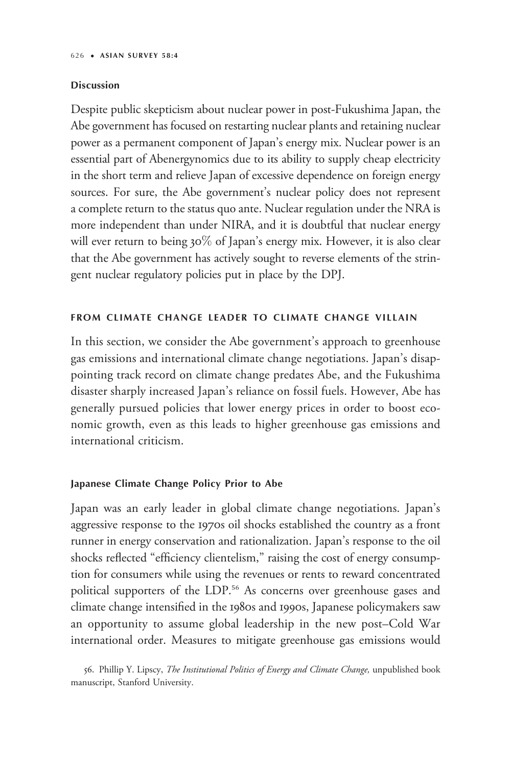#### Discussion

Despite public skepticism about nuclear power in post-Fukushima Japan, the Abe government has focused on restarting nuclear plants and retaining nuclear power as a permanent component of Japan's energy mix. Nuclear power is an essential part of Abenergynomics due to its ability to supply cheap electricity in the short term and relieve Japan of excessive dependence on foreign energy sources. For sure, the Abe government's nuclear policy does not represent a complete return to the status quo ante. Nuclear regulation under the NRA is more independent than under NIRA, and it is doubtful that nuclear energy will ever return to being 30% of Japan's energy mix. However, it is also clear that the Abe government has actively sought to reverse elements of the stringent nuclear regulatory policies put in place by the DPJ.

# FROM CLIMATE CHANGE LEADER TO CLIMATE CHANGE VILLAIN

In this section, we consider the Abe government's approach to greenhouse gas emissions and international climate change negotiations. Japan's disappointing track record on climate change predates Abe, and the Fukushima disaster sharply increased Japan's reliance on fossil fuels. However, Abe has generally pursued policies that lower energy prices in order to boost economic growth, even as this leads to higher greenhouse gas emissions and international criticism.

# Japanese Climate Change Policy Prior to Abe

Japan was an early leader in global climate change negotiations. Japan's aggressive response to the 1970s oil shocks established the country as a front runner in energy conservation and rationalization. Japan's response to the oil shocks reflected "efficiency clientelism," raising the cost of energy consumption for consumers while using the revenues or rents to reward concentrated political supporters of the LDP.<sup>56</sup> As concerns over greenhouse gases and climate change intensified in the 1980s and 1990s, Japanese policymakers saw an opportunity to assume global leadership in the new post–Cold War international order. Measures to mitigate greenhouse gas emissions would

<sup>56.</sup> Phillip Y. Lipscy, The Institutional Politics of Energy and Climate Change, unpublished book manuscript, Stanford University.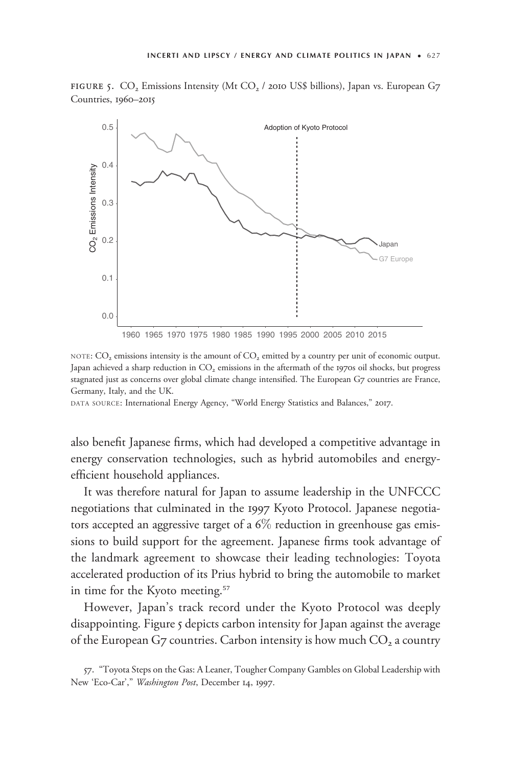FIGURE 5.  $CO<sub>2</sub>$  Emissions Intensity (Mt  $CO<sub>2</sub>$  / 2010 US\$ billions), Japan vs. European G7 Countries, 1960–2015



NOTE:  $CO<sub>2</sub>$  emissions intensity is the amount of  $CO<sub>2</sub>$  emitted by a country per unit of economic output. Japan achieved a sharp reduction in  $CO<sub>2</sub>$  emissions in the aftermath of the 1970s oil shocks, but progress stagnated just as concerns over global climate change intensified. The European G7 countries are France, Germany, Italy, and the UK.

DATA SOURCE: International Energy Agency, "World Energy Statistics and Balances," 2017.

also benefit Japanese firms, which had developed a competitive advantage in energy conservation technologies, such as hybrid automobiles and energyefficient household appliances.

It was therefore natural for Japan to assume leadership in the UNFCCC negotiations that culminated in the 1997 Kyoto Protocol. Japanese negotiators accepted an aggressive target of a  $6\%$  reduction in greenhouse gas emissions to build support for the agreement. Japanese firms took advantage of the landmark agreement to showcase their leading technologies: Toyota accelerated production of its Prius hybrid to bring the automobile to market in time for the Kyoto meeting.<sup>57</sup>

However, Japan's track record under the Kyoto Protocol was deeply disappointing. Figure 5 depicts carbon intensity for Japan against the average of the European G7 countries. Carbon intensity is how much  $CO<sub>2</sub>$  a country

<sup>57.</sup> "Toyota Steps on the Gas: A Leaner, Tougher Company Gambles on Global Leadership with New 'Eco-Car'," Washington Post, December 14, 1997.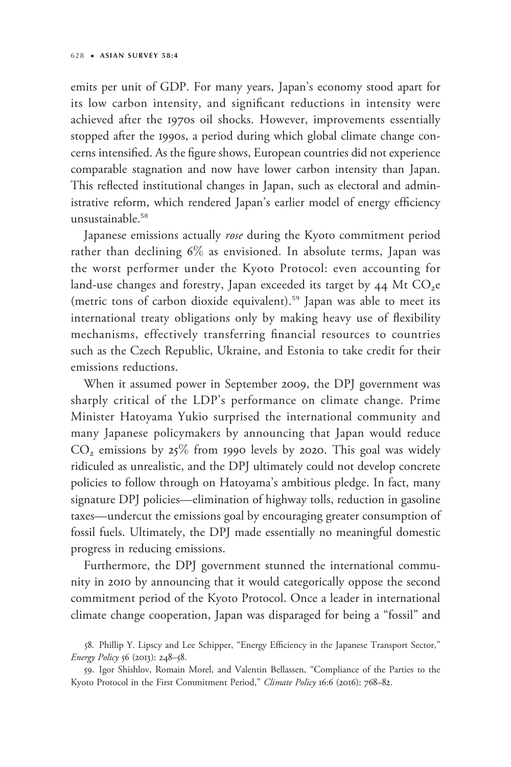emits per unit of GDP. For many years, Japan's economy stood apart for its low carbon intensity, and significant reductions in intensity were achieved after the 1970s oil shocks. However, improvements essentially stopped after the 1990s, a period during which global climate change concerns intensified. As the figure shows, European countries did not experience comparable stagnation and now have lower carbon intensity than Japan. This reflected institutional changes in Japan, such as electoral and administrative reform, which rendered Japan's earlier model of energy efficiency unsustainable.<sup>58</sup>

Japanese emissions actually rose during the Kyoto commitment period rather than declining 6% as envisioned. In absolute terms, Japan was the worst performer under the Kyoto Protocol: even accounting for land-use changes and forestry, Japan exceeded its target by  $44$  Mt CO<sub>2</sub>e (metric tons of carbon dioxide equivalent).<sup>59</sup> Japan was able to meet its international treaty obligations only by making heavy use of flexibility mechanisms, effectively transferring financial resources to countries such as the Czech Republic, Ukraine, and Estonia to take credit for their emissions reductions.

When it assumed power in September 2009, the DPJ government was sharply critical of the LDP's performance on climate change. Prime Minister Hatoyama Yukio surprised the international community and many Japanese policymakers by announcing that Japan would reduce  $CO<sub>2</sub>$  emissions by  $25\%$  from 1990 levels by 2020. This goal was widely ridiculed as unrealistic, and the DPJ ultimately could not develop concrete policies to follow through on Hatoyama's ambitious pledge. In fact, many signature DPJ policies—elimination of highway tolls, reduction in gasoline taxes—undercut the emissions goal by encouraging greater consumption of fossil fuels. Ultimately, the DPJ made essentially no meaningful domestic progress in reducing emissions.

Furthermore, the DPJ government stunned the international community in 2010 by announcing that it would categorically oppose the second commitment period of the Kyoto Protocol. Once a leader in international climate change cooperation, Japan was disparaged for being a "fossil" and

<sup>58.</sup> Phillip Y. Lipscy and Lee Schipper, "Energy Efficiency in the Japanese Transport Sector," Energy Policy 56 (2013): 248–58.

<sup>59.</sup> Igor Shishlov, Romain Morel, and Valentin Bellassen, "Compliance of the Parties to the Kyoto Protocol in the First Commitment Period," Climate Policy 16:6 (2016): 768-82.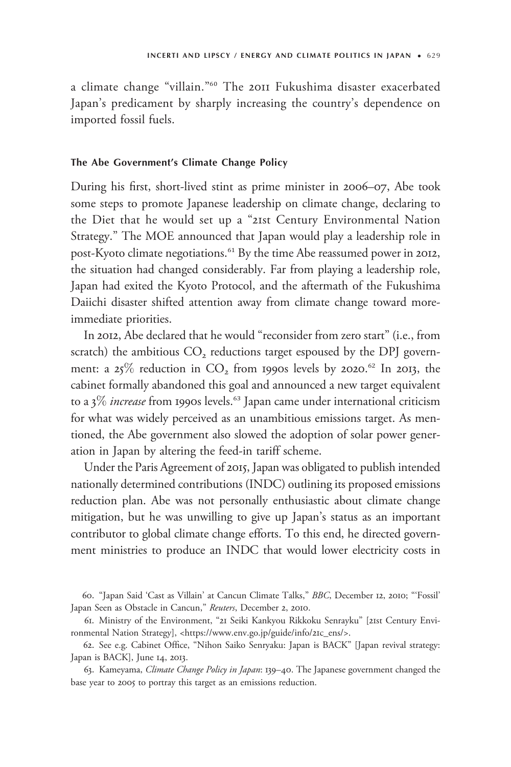a climate change "villain."<sup>60</sup> The 2011 Fukushima disaster exacerbated Japan's predicament by sharply increasing the country's dependence on imported fossil fuels.

#### The Abe Government's Climate Change Policy

During his first, short-lived stint as prime minister in 2006–07, Abe took some steps to promote Japanese leadership on climate change, declaring to the Diet that he would set up a "21st Century Environmental Nation Strategy." The MOE announced that Japan would play a leadership role in post-Kyoto climate negotiations.<sup>61</sup> By the time Abe reassumed power in 2012, the situation had changed considerably. Far from playing a leadership role, Japan had exited the Kyoto Protocol, and the aftermath of the Fukushima Daiichi disaster shifted attention away from climate change toward moreimmediate priorities.

In 2012, Abe declared that he would "reconsider from zero start" (i.e., from scratch) the ambitious  $CO<sub>2</sub>$  reductions target espoused by the DPJ government: a  $25\%$  reduction in  $CO<sub>2</sub>$  from 1990s levels by 2020.<sup>62</sup> In 2013, the cabinet formally abandoned this goal and announced a new target equivalent to a  $3\%$  increase from 1990s levels.<sup>63</sup> Japan came under international criticism for what was widely perceived as an unambitious emissions target. As mentioned, the Abe government also slowed the adoption of solar power generation in Japan by altering the feed-in tariff scheme.

Under the Paris Agreement of 2015, Japan was obligated to publish intended nationally determined contributions (INDC) outlining its proposed emissions reduction plan. Abe was not personally enthusiastic about climate change mitigation, but he was unwilling to give up Japan's status as an important contributor to global climate change efforts. To this end, he directed government ministries to produce an INDC that would lower electricity costs in

60. "Japan Said 'Cast as Villain' at Cancun Climate Talks," BBC, December 12, 2010; "'Fossil' Japan Seen as Obstacle in Cancun," Reuters, December 2, 2010.

61. Ministry of the Environment, "21 Seiki Kankyou Rikkoku Senrayku" [21st Century Environmental Nation Strategy], [<https://www.env.go.jp/guide/info/](https://www.env.go.jp/guide/info/21c_ens/)21c\_ens/>.

62. See e.g. Cabinet Office, "Nihon Saiko Senryaku: Japan is BACK" [Japan revival strategy: Japan is BACK], June 14, 2013.

63. Kameyama, Climate Change Policy in Japan: 139–40. The Japanese government changed the base year to 2005 to portray this target as an emissions reduction.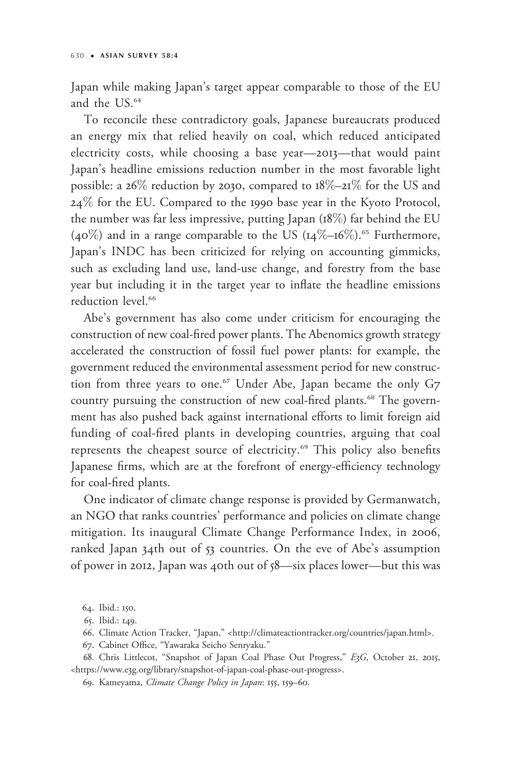Japan while making Japan's target appear comparable to those of the EU and the US.<sup>64</sup>

To reconcile these contradictory goals, Japanese bureaucrats produced an energy mix that relied heavily on coal, which reduced anticipated electricity costs, while choosing a base year—2013—that would paint Japan's headline emissions reduction number in the most favorable light possible: a  $26\%$  reduction by 2030, compared to  $18\% - 21\%$  for the US and  $24\%$  for the EU. Compared to the 1990 base year in the Kyoto Protocol, the number was far less impressive, putting Japan (18%) far behind the EU (40%) and in a range comparable to the US ( $14\%$ – $16\%$ ).<sup>65</sup> Furthermore, Japan's INDC has been criticized for relying on accounting gimmicks, such as excluding land use, land-use change, and forestry from the base year but including it in the target year to inflate the headline emissions reduction level.<sup>66</sup>

Abe's government has also come under criticism for encouraging the construction of new coal-fired power plants. The Abenomics growth strategy accelerated the construction of fossil fuel power plants: for example, the government reduced the environmental assessment period for new construction from three years to one.<sup>67</sup> Under Abe, Japan became the only G7 country pursuing the construction of new coal-fired plants.<sup>68</sup> The government has also pushed back against international efforts to limit foreign aid funding of coal-fired plants in developing countries, arguing that coal represents the cheapest source of electricity.<sup>69</sup> This policy also benefits Japanese firms, which are at the forefront of energy-efficiency technology for coal-fired plants.

One indicator of climate change response is provided by Germanwatch, an NGO that ranks countries' performance and policies on climate change mitigation. Its inaugural Climate Change Performance Index, in 2006, ranked Japan 34th out of 53 countries. On the eve of Abe's assumption of power in 2012, Japan was 40th out of 58—six places lower—but this was

<sup>64.</sup> Ibid.: 150.

<sup>65.</sup> Ibid.: 149.

<sup>66.</sup> Climate Action Tracker, "Japan," <[http://climateactiontracker.org/countries/japan.html>](http://climateactiontracker.org/countries/japan.html).

<sup>67.</sup> Cabinet Office, "Yawaraka Seicho Senryaku."

<sup>68.</sup> Chris Littlecot, "Snapshot of Japan Coal Phase Out Progress," E3G, October 21, 2015, <https://www.e3[g.org/library/snapshot-of-japan-coal-phase-out-progress](https://www.e3g.org/library/snapshot-of-japan-coal-phase-out-progress)>.

<sup>69.</sup> Kameyama, Climate Change Policy in Japan: 155, 159–60.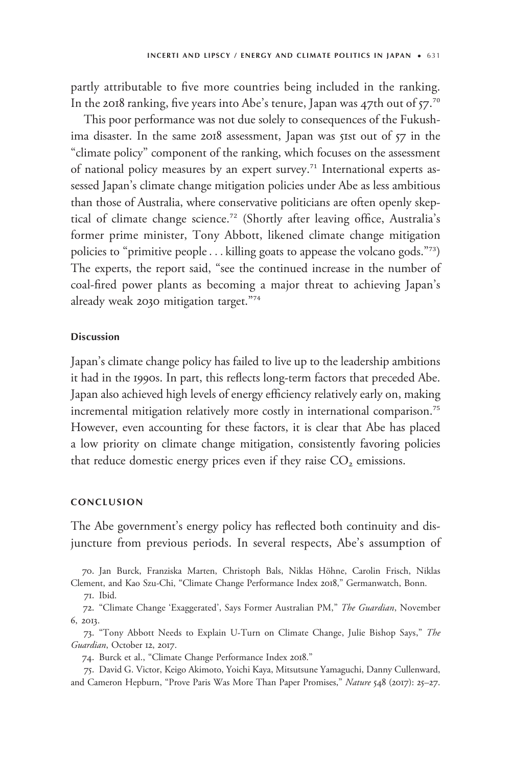partly attributable to five more countries being included in the ranking. In the 2018 ranking, five years into Abe's tenure, Japan was 47th out of 57. $^{70}$ 

This poor performance was not due solely to consequences of the Fukushima disaster. In the same 2018 assessment, Japan was 51st out of 57 in the "climate policy" component of the ranking, which focuses on the assessment of national policy measures by an expert survey.<sup>71</sup> International experts assessed Japan's climate change mitigation policies under Abe as less ambitious than those of Australia, where conservative politicians are often openly skeptical of climate change science.<sup>72</sup> (Shortly after leaving office, Australia's former prime minister, Tony Abbott, likened climate change mitigation policies to "primitive people... killing goats to appease the volcano gods."<sup>73</sup>) The experts, the report said, "see the continued increase in the number of coal-fired power plants as becoming a major threat to achieving Japan's already weak 2030 mitigation target."<sup>74</sup>

### Discussion

Japan's climate change policy has failed to live up to the leadership ambitions it had in the 1990s. In part, this reflects long-term factors that preceded Abe. Japan also achieved high levels of energy efficiency relatively early on, making incremental mitigation relatively more costly in international comparison.<sup>75</sup> However, even accounting for these factors, it is clear that Abe has placed a low priority on climate change mitigation, consistently favoring policies that reduce domestic energy prices even if they raise  $CO<sub>2</sub>$  emissions.

# CONCLUSION

The Abe government's energy policy has reflected both continuity and disjuncture from previous periods. In several respects, Abe's assumption of

70. Jan Burck, Franziska Marten, Christoph Bals, Niklas Höhne, Carolin Frisch, Niklas Clement, and Kao Szu-Chi, "Climate Change Performance Index 2018," Germanwatch, Bonn.

71. Ibid.

72. "Climate Change 'Exaggerated', Says Former Australian PM," The Guardian, November 6, 2013.

73. "Tony Abbott Needs to Explain U-Turn on Climate Change, Julie Bishop Says," The Guardian, October 12, 2017.

74. Burck et al., "Climate Change Performance Index 2018."

75. David G. Victor, Keigo Akimoto, Yoichi Kaya, Mitsutsune Yamaguchi, Danny Cullenward, and Cameron Hepburn, "Prove Paris Was More Than Paper Promises," Nature 548 (2017): 25–27.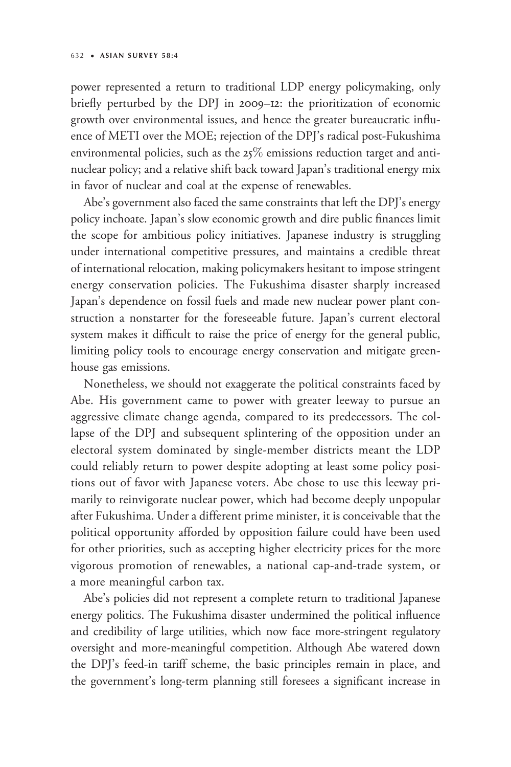power represented a return to traditional LDP energy policymaking, only briefly perturbed by the DPJ in 2009–12: the prioritization of economic growth over environmental issues, and hence the greater bureaucratic influence of METI over the MOE; rejection of the DPJ's radical post-Fukushima environmental policies, such as the  $25\%$  emissions reduction target and antinuclear policy; and a relative shift back toward Japan's traditional energy mix in favor of nuclear and coal at the expense of renewables.

Abe's government also faced the same constraints that left the DPJ's energy policy inchoate. Japan's slow economic growth and dire public finances limit the scope for ambitious policy initiatives. Japanese industry is struggling under international competitive pressures, and maintains a credible threat of international relocation, making policymakers hesitant to impose stringent energy conservation policies. The Fukushima disaster sharply increased Japan's dependence on fossil fuels and made new nuclear power plant construction a nonstarter for the foreseeable future. Japan's current electoral system makes it difficult to raise the price of energy for the general public, limiting policy tools to encourage energy conservation and mitigate greenhouse gas emissions.

Nonetheless, we should not exaggerate the political constraints faced by Abe. His government came to power with greater leeway to pursue an aggressive climate change agenda, compared to its predecessors. The collapse of the DPJ and subsequent splintering of the opposition under an electoral system dominated by single-member districts meant the LDP could reliably return to power despite adopting at least some policy positions out of favor with Japanese voters. Abe chose to use this leeway primarily to reinvigorate nuclear power, which had become deeply unpopular after Fukushima. Under a different prime minister, it is conceivable that the political opportunity afforded by opposition failure could have been used for other priorities, such as accepting higher electricity prices for the more vigorous promotion of renewables, a national cap-and-trade system, or a more meaningful carbon tax.

Abe's policies did not represent a complete return to traditional Japanese energy politics. The Fukushima disaster undermined the political influence and credibility of large utilities, which now face more-stringent regulatory oversight and more-meaningful competition. Although Abe watered down the DPJ's feed-in tariff scheme, the basic principles remain in place, and the government's long-term planning still foresees a significant increase in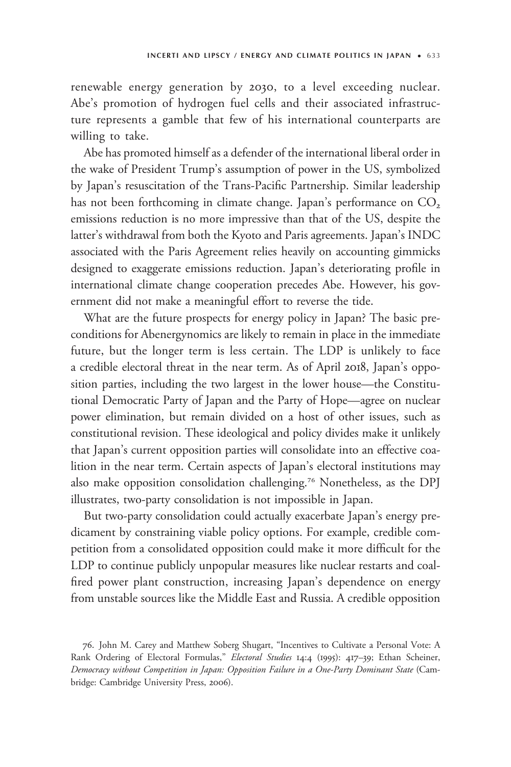renewable energy generation by 2030, to a level exceeding nuclear. Abe's promotion of hydrogen fuel cells and their associated infrastructure represents a gamble that few of his international counterparts are willing to take.

Abe has promoted himself as a defender of the international liberal order in the wake of President Trump's assumption of power in the US, symbolized by Japan's resuscitation of the Trans-Pacific Partnership. Similar leadership has not been forthcoming in climate change. Japan's performance on  $CO<sub>2</sub>$ emissions reduction is no more impressive than that of the US, despite the latter's withdrawal from both the Kyoto and Paris agreements. Japan's INDC associated with the Paris Agreement relies heavily on accounting gimmicks designed to exaggerate emissions reduction. Japan's deteriorating profile in international climate change cooperation precedes Abe. However, his government did not make a meaningful effort to reverse the tide.

What are the future prospects for energy policy in Japan? The basic preconditions for Abenergynomics are likely to remain in place in the immediate future, but the longer term is less certain. The LDP is unlikely to face a credible electoral threat in the near term. As of April 2018, Japan's opposition parties, including the two largest in the lower house—the Constitutional Democratic Party of Japan and the Party of Hope—agree on nuclear power elimination, but remain divided on a host of other issues, such as constitutional revision. These ideological and policy divides make it unlikely that Japan's current opposition parties will consolidate into an effective coalition in the near term. Certain aspects of Japan's electoral institutions may also make opposition consolidation challenging.<sup>76</sup> Nonetheless, as the DPJ illustrates, two-party consolidation is not impossible in Japan.

But two-party consolidation could actually exacerbate Japan's energy predicament by constraining viable policy options. For example, credible competition from a consolidated opposition could make it more difficult for the LDP to continue publicly unpopular measures like nuclear restarts and coalfired power plant construction, increasing Japan's dependence on energy from unstable sources like the Middle East and Russia. A credible opposition

<sup>76.</sup> John M. Carey and Matthew Soberg Shugart, "Incentives to Cultivate a Personal Vote: A Rank Ordering of Electoral Formulas," Electoral Studies 14:4 (1995): 417-39; Ethan Scheiner, Democracy without Competition in Japan: Opposition Failure in a One-Party Dominant State (Cambridge: Cambridge University Press, 2006).